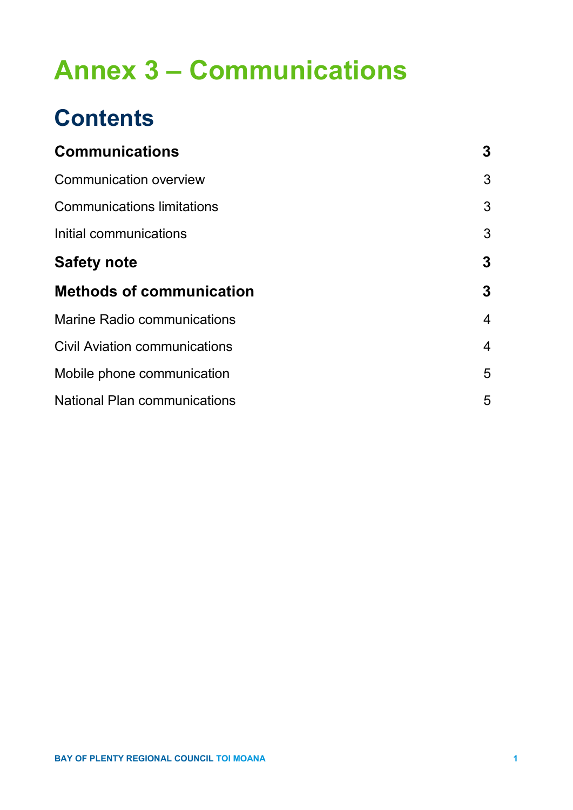# **Annex 3 – Communications**

## **Contents**

| <b>Communications</b>                | 3              |
|--------------------------------------|----------------|
| <b>Communication overview</b>        | 3              |
| <b>Communications limitations</b>    | 3              |
| Initial communications               | 3              |
| <b>Safety note</b>                   | 3              |
| <b>Methods of communication</b>      | 3              |
| <b>Marine Radio communications</b>   | $\overline{4}$ |
| <b>Civil Aviation communications</b> | $\overline{4}$ |
| Mobile phone communication           | 5              |
| <b>National Plan communications</b>  | 5              |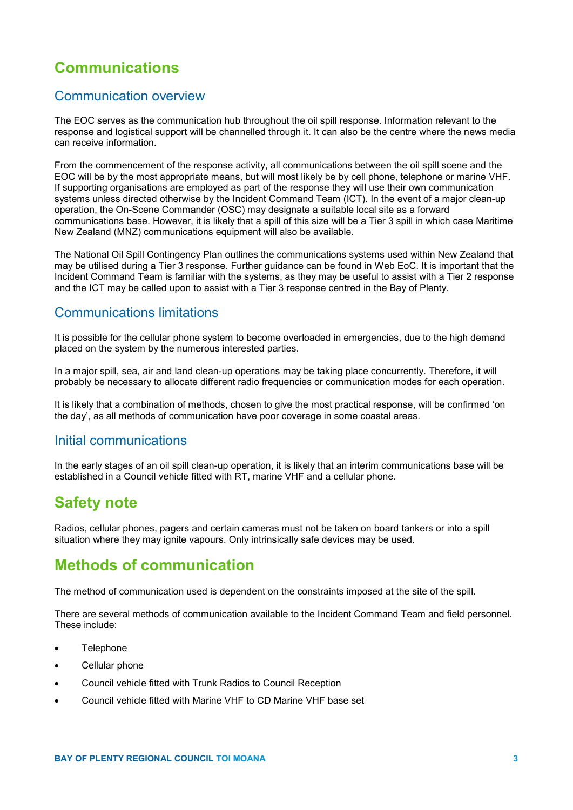## **Communications**

#### Communication overview

The EOC serves as the communication hub throughout the oil spill response. Information relevant to the response and logistical support will be channelled through it. It can also be the centre where the news media can receive information.

From the commencement of the response activity, all communications between the oil spill scene and the EOC will be by the most appropriate means, but will most likely be by cell phone, telephone or marine VHF. If supporting organisations are employed as part of the response they will use their own communication systems unless directed otherwise by the Incident Command Team (ICT). In the event of a major clean-up operation, the On-Scene Commander (OSC) may designate a suitable local site as a forward communications base. However, it is likely that a spill of this size will be a Tier 3 spill in which case Maritime New Zealand (MNZ) communications equipment will also be available.

The National Oil Spill Contingency Plan outlines the communications systems used within New Zealand that may be utilised during a Tier 3 response. Further guidance can be found in Web EoC. It is important that the Incident Command Team is familiar with the systems, as they may be useful to assist with a Tier 2 response and the ICT may be called upon to assist with a Tier 3 response centred in the Bay of Plenty.

## Communications limitations

It is possible for the cellular phone system to become overloaded in emergencies, due to the high demand placed on the system by the numerous interested parties.

In a major spill, sea, air and land clean-up operations may be taking place concurrently. Therefore, it will probably be necessary to allocate different radio frequencies or communication modes for each operation.

It is likely that a combination of methods, chosen to give the most practical response, will be confirmed 'on the day', as all methods of communication have poor coverage in some coastal areas.

#### Initial communications

In the early stages of an oil spill clean-up operation, it is likely that an interim communications base will be established in a Council vehicle fitted with RT, marine VHF and a cellular phone.

## **Safety note**

Radios, cellular phones, pagers and certain cameras must not be taken on board tankers or into a spill situation where they may ignite vapours. Only intrinsically safe devices may be used.

## **Methods of communication**

The method of communication used is dependent on the constraints imposed at the site of the spill.

There are several methods of communication available to the Incident Command Team and field personnel. These include:

- **Telephone**
- Cellular phone
- Council vehicle fitted with Trunk Radios to Council Reception
- Council vehicle fitted with Marine VHF to CD Marine VHF base set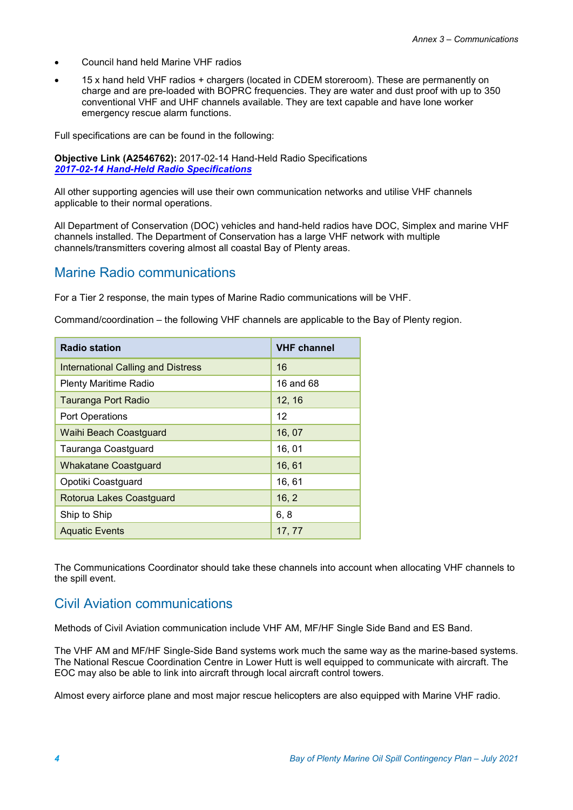- Council hand held Marine VHF radios
- 15 x hand held VHF radios + chargers (located in CDEM storeroom). These are permanently on charge and are pre-loaded with BOPRC frequencies. They are water and dust proof with up to 350 conventional VHF and UHF channels available. They are text capable and have lone worker emergency rescue alarm functions.

Full specifications are can be found in the following:

**Objective Link (A2546762):** 2017-02-14 Hand-Held Radio Specifications *[2017-02-14 Hand-Held Radio Specifications](https://objective.envbop.net/id:A2546762)*

All other supporting agencies will use their own communication networks and utilise VHF channels applicable to their normal operations.

All Department of Conservation (DOC) vehicles and hand-held radios have DOC, Simplex and marine VHF channels installed. The Department of Conservation has a large VHF network with multiple channels/transmitters covering almost all coastal Bay of Plenty areas.

#### Marine Radio communications

For a Tier 2 response, the main types of Marine Radio communications will be VHF.

Command/coordination – the following VHF channels are applicable to the Bay of Plenty region.

| <b>Radio station</b>                      | <b>VHF channel</b> |
|-------------------------------------------|--------------------|
| <b>International Calling and Distress</b> | 16                 |
| <b>Plenty Maritime Radio</b>              | 16 and 68          |
| <b>Tauranga Port Radio</b>                | 12, 16             |
| <b>Port Operations</b>                    | 12                 |
| <b>Waihi Beach Coastguard</b>             | 16, 07             |
| Tauranga Coastguard                       | 16, 01             |
| <b>Whakatane Coastguard</b>               | 16, 61             |
| Opotiki Coastguard                        | 16, 61             |
| Rotorua Lakes Coastguard                  | 16, 2              |
| Ship to Ship                              | 6, 8               |
| <b>Aguatic Events</b>                     | 17, 77             |

The Communications Coordinator should take these channels into account when allocating VHF channels to the spill event.

## Civil Aviation communications

Methods of Civil Aviation communication include VHF AM, MF/HF Single Side Band and ES Band.

The VHF AM and MF/HF Single-Side Band systems work much the same way as the marine-based systems. The National Rescue Coordination Centre in Lower Hutt is well equipped to communicate with aircraft. The EOC may also be able to link into aircraft through local aircraft control towers.

Almost every airforce plane and most major rescue helicopters are also equipped with Marine VHF radio.